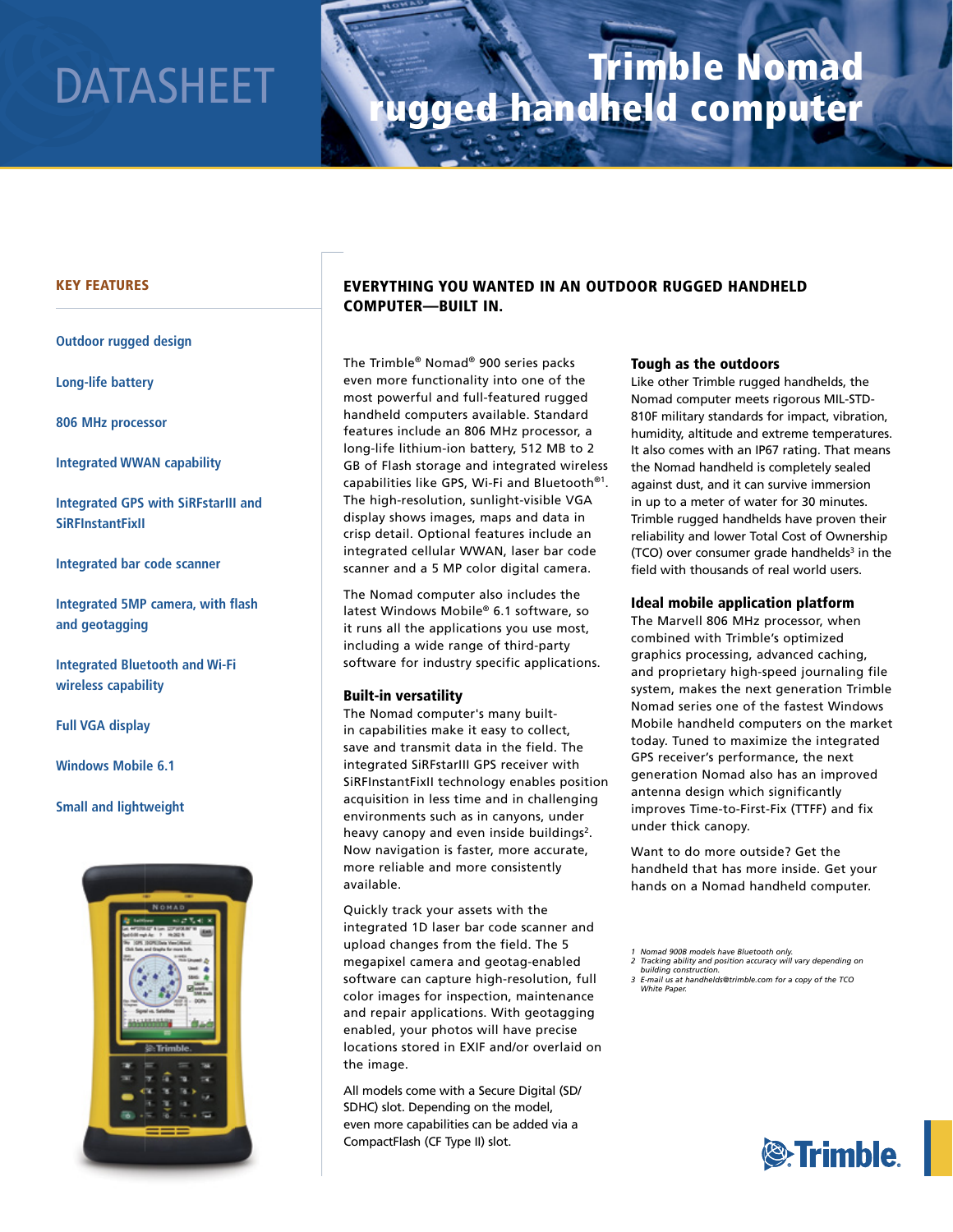# Trimble Nomad DATASHEET **Wagged handheld computer**

#### KEY FEATURES

**Outdoor rugged design**

**Long-life battery**

**806 MHz processor**

**Integrated WWAN capability** 

**Integrated GPS with SiRFstarIII and SiRFInstantFixII**

**Integrated bar code scanner**

**Integrated 5MP camera, with flash and geotagging**

**Integrated Bluetooth and Wi-Fi wireless capability**

**Full VGA display**

**Windows Mobile 6.1**

**Small and lightweight**



### EVERYTHING YOU WANTED IN AN OUTDOOR RUGGED HANDHELD COMPUTER—BUILT IN.

The Trimble® Nomad® 900 series packs even more functionality into one of the most powerful and full-featured rugged handheld computers available. Standard features include an 806 MHz processor, a long-life lithium-ion battery, 512 MB to 2 GB of Flash storage and integrated wireless capabilities like GPS, Wi-Fi and Bluetooth®1. The high-resolution, sunlight-visible VGA display shows images, maps and data in crisp detail. Optional features include an integrated cellular WWAN, laser bar code scanner and a 5 MP color digital camera.

The Nomad computer also includes the latest Windows Mobile® 6.1 software, so it runs all the applications you use most, including a wide range of third-party software for industry specific applications.

#### Built-in versatility

The Nomad computer's many builtin capabilities make it easy to collect, save and transmit data in the field. The integrated SiRFstarIII GPS receiver with SiRFInstantFixII technology enables position acquisition in less time and in challenging environments such as in canyons, under heavy canopy and even inside buildings<sup>2</sup>. Now navigation is faster, more accurate, more reliable and more consistently available.

Quickly track your assets with the integrated 1D laser bar code scanner and upload changes from the field. The 5 megapixel camera and geotag-enabled software can capture high-resolution, full color images for inspection, maintenance and repair applications. With geotagging enabled, your photos will have precise locations stored in EXIF and/or overlaid on the image.

All models come with a Secure Digital (SD/ SDHC) slot. Depending on the model, even more capabilities can be added via a CompactFlash (CF Type II) slot.

#### Tough as the outdoors

Like other Trimble rugged handhelds, the Nomad computer meets rigorous MIL-STD-810F military standards for impact, vibration, humidity, altitude and extreme temperatures. It also comes with an IP67 rating. That means the Nomad handheld is completely sealed against dust, and it can survive immersion in up to a meter of water for 30 minutes. Trimble rugged handhelds have proven their reliability and lower Total Cost of Ownership  $(TCO)$  over consumer grade handhelds<sup>3</sup> in the field with thousands of real world users.

#### Ideal mobile application platform

The Marvell 806 MHz processor, when combined with Trimble's optimized graphics processing, advanced caching, and proprietary high-speed journaling file system, makes the next generation Trimble Nomad series one of the fastest Windows Mobile handheld computers on the market today. Tuned to maximize the integrated GPS receiver's performance, the next generation Nomad also has an improved antenna design which significantly improves Time-to-First-Fix (TTFF) and fix under thick canopy.

Want to do more outside? Get the handheld that has more inside. Get your hands on a Nomad handheld computer.



*<sup>1</sup> Nomad 900B models have Bluetooth only. 2 Tracking ability and position accuracy will vary depending on* 

*building construction. 3 E-mail us at handhelds@trimble.com for a copy of the TCO* 

*White Paper.*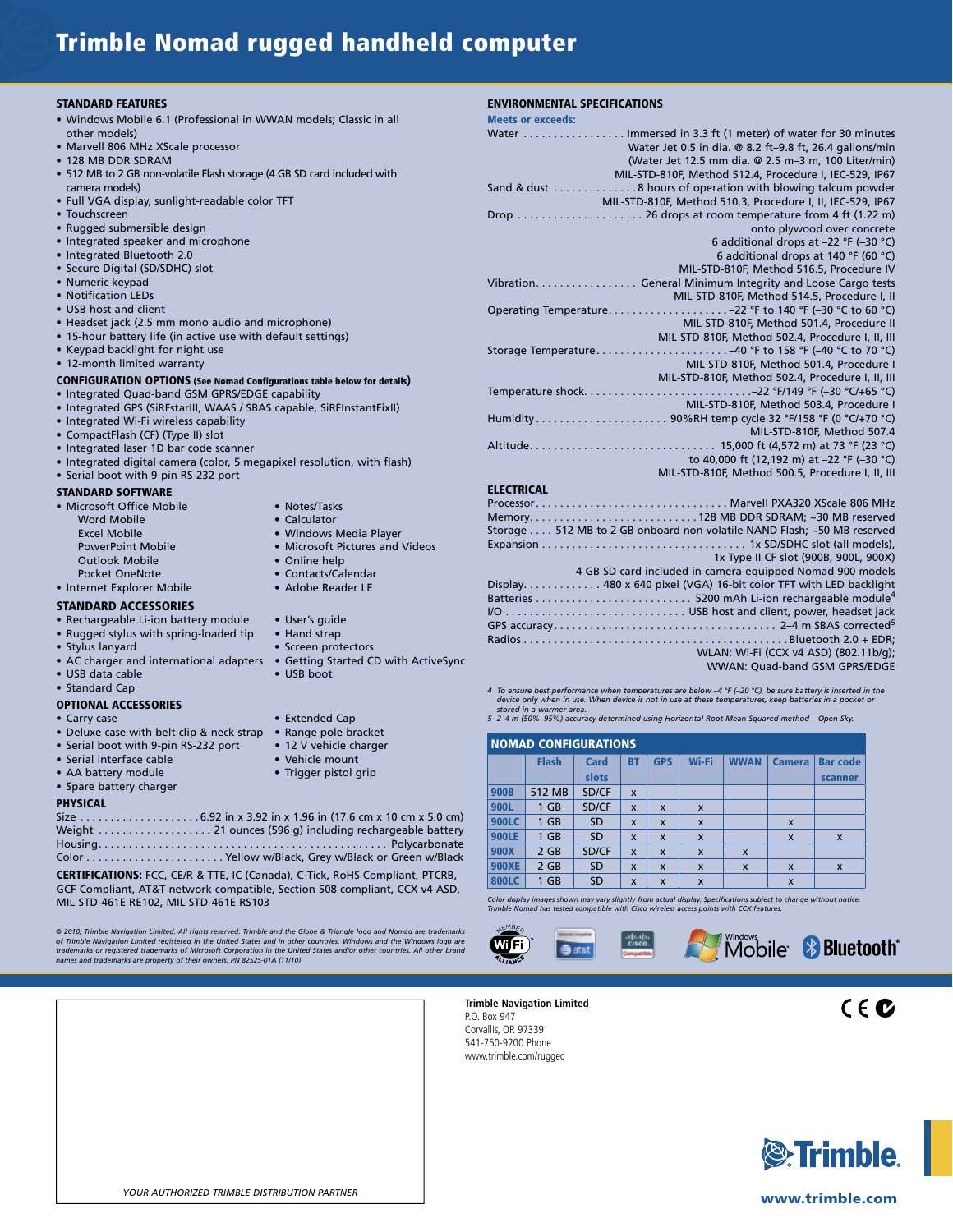## Trimble Nomad rugged handheld computer

#### STANDARD FEATURES

- Windows Mobile 6.1 (Professional in WWAN models; Classic in all other models)
- Marvell 806 MHz XScale processor
- 128 MB DDR SDRAM
- 512 MB to 2 GB non-volatile Flash storage (4 GB SD card included with camera models)
- Full VGA display, sunlight-readable color TFT
- Touchscreen
- Rugged submersible design
- Integrated speaker and microphone
- Integrated Bluetooth 2.0
- Secure Digital (SD/SDHC) slot
- Numeric keypad • Notification LEDs
- USB host and client
- 
- Headset jack (2.5 mm mono audio and microphone) • 15-hour battery life (in active use with default settings)
- Keypad backlight for night use
- 12-month limited warranty

#### CONFIGURATION OPTIONS (See Nomad Configurations table below for details)

- Integrated Quad-band GSM GPRS/EDGE capability
- Integrated GPS (SiRFstarIII, WAAS / SBAS capable, SiRFInstantFixII)
- Integrated Wi-Fi wireless capability
- CompactFlash (CF) (Type II) slot
- Integrated laser 1D bar code scanner
- Integrated digital camera (color, 5 megapixel resolution, with flash)
- Serial boot with 9-pin RS-232 port

#### STANDARD SOFTWARE

- Microsoft Office Mobile Notes/Tasks Word Mobile **• Calculator** Excel Mobile **• Windows Media Player**<br> **• Windows Media Player**<br>
• Microsoft Pictures and **•** Outlook Mobile Pocket OneNote<br> **Contacts/Calendar • Contacts/Calendar<br>
• Adobe Reader LE<br>
• Adobe Reader LE** • Internet Explorer Mobile
- STANDARD ACCESSORIES
- Rechargeable Li-ion battery module User's quide
- Rugged stylus with spring-loaded tip Hand strap
- 
- AC charger and international adapters Getting Started CD with ActiveSync
- $\bullet$  USB data cable • Standard Cap

#### OPTIONAL ACCESSORIES

- 
- Deluxe case with belt clip & neck strap Range pole bracket
- Serial boot with 9-pin RS-232 port 12 V vehicle charger<br>• Serial interface cable Vehicle mount
- $\bullet$  Serial interface cable
- AA battery module Trigger pistol grip
- Spare battery charger

#### PHYSICAL

Size . . . . . . . . . . . . . . . . . . . . 6.92 in x 3.92 in x 1.96 in (17.6 cm x 10 cm x 5.0 cm) Weight . . . . . . . . . . . . . . . . . . . 21 ounces (596 g) including rechargeable battery Housing . . . . . . . . . . . . . . . . . . . . . . . . . . . . . . . . . . . . . . . . . . . . . . . . Polycarbonate Color . . . . . . . . . . . . . . . . . . . . . . . Yellow w/Black, Grey w/Black or Green w/Black

CERTIFICATIONS: FCC, CE/R & TTE, IC (Canada), C-Tick, RoHS Compliant, PTCRB, GCF Compliant, AT&T network compatible, Section 508 compliant, CCX v4 ASD, MIL-STD-461E RE102, MIL-STD-461E RS103

© 2010, Trimble Navigation Limited. All rights reserved. Trimble and the Globe & Triangle logo and Nomad are trademarks<br>of Trimble Navigation Limited registered in the United States and in other countries. Windows and the

| YOUR AUTHORIZED TRIMBLE DISTRIBUTION PARTNER |
|----------------------------------------------|

#### ENVIRONMENTAL SPECIFICATIONS

| <b>Meets or exceeds:</b> |                                                                                                |
|--------------------------|------------------------------------------------------------------------------------------------|
|                          | Water  Immersed in 3.3 ft (1 meter) of water for 30 minutes                                    |
|                          | Water Jet 0.5 in dia. @ 8.2 ft-9.8 ft, 26.4 gallons/min                                        |
|                          | (Water Jet 12.5 mm dia. @ 2.5 m-3 m, 100 Liter/min)                                            |
|                          | MIL-STD-810F, Method 512.4, Procedure I, IEC-529, IP67                                         |
|                          | Sand & dust 8 hours of operation with blowing talcum powder                                    |
|                          | MIL-STD-810F, Method 510.3, Procedure I, II, IEC-529, IP67                                     |
|                          | Drop  26 drops at room temperature from 4 ft (1.22 m)                                          |
|                          | onto plywood over concrete                                                                     |
|                          | 6 additional drops at $-22$ °F ( $-30$ °C)                                                     |
|                          | 6 additional drops at 140 °F (60 °C)                                                           |
|                          | MIL-STD-810F, Method 516.5, Procedure IV                                                       |
|                          | Vibration General Minimum Integrity and Loose Cargo tests                                      |
|                          | MIL-STD-810F, Method 514.5, Procedure I, II                                                    |
|                          |                                                                                                |
|                          | MIL-STD-810F, Method 501.4, Procedure II                                                       |
|                          | MIL-STD-810F, Method 502.4, Procedure I, II, III                                               |
|                          | Storage Temperature40 °F to 158 °F (-40 °C to 70 °C)                                           |
|                          | MIL-STD-810F. Method 501.4. Procedure I                                                        |
|                          | MIL-STD-810F, Method 502.4, Procedure I, II, III                                               |
|                          |                                                                                                |
|                          | MIL-STD-810F, Method 503.4, Procedure I                                                        |
|                          |                                                                                                |
|                          | MIL-STD-810F. Method 507.4                                                                     |
|                          |                                                                                                |
|                          | to 40,000 ft (12,192 m) at -22 °F (-30 °C)<br>MIL-STD-810F, Method 500.5, Procedure I, II, III |
|                          |                                                                                                |
| <b>ELECTRICAL</b>        |                                                                                                |
|                          |                                                                                                |

| Memory128 MB DDR SDRAM; ~30 MB reserved                                 |
|-------------------------------------------------------------------------|
| Storage 512 MB to 2 GB onboard non-volatile NAND Flash; ~50 MB reserved |
|                                                                         |
| 1x Type II CF slot (900B, 900L, 900X)                                   |
| 4 GB SD card included in camera-equipped Nomad 900 models               |
| Display 480 x 640 pixel (VGA) 16-bit color TFT with LED backlight       |
|                                                                         |
| I/O  USB host and client, power, headset jack                           |
|                                                                         |
|                                                                         |
| WLAN: Wi-Fi (CCX v4 ASD) (802.11b/g);                                   |
| WWAN: Ouad-band GSM GPRS/EDGE                                           |
|                                                                         |

*4 To ensure best performance when temperatures are below –4 °F (–20 °C), be sure battery is inserted in the*  device only when in use. When device is not in use at these temperatures, keep batteries in a pocket or<br>stored in a warmer area.<br>5 2–4 m (50%–95%) accuracy determined using Horizontal Root Mean Squared method – Open Sky.

#### NOMAD CONFIGURATIONS

|              | <b>Flash</b> | <b>Card</b> | <b>BT</b>                 | <b>GPS</b>                | Wi-Fi                     | <b>WWAN</b>               | <b>Camera</b>             | <b>Bar code</b>           |
|--------------|--------------|-------------|---------------------------|---------------------------|---------------------------|---------------------------|---------------------------|---------------------------|
|              |              | slots       |                           |                           |                           |                           |                           | scanner                   |
| <b>900B</b>  | 512 MB       | SD/CF       | $\boldsymbol{\mathsf{x}}$ |                           |                           |                           |                           |                           |
| 900L         | $1$ GB       | SD/CF       | X                         | $\boldsymbol{\mathsf{x}}$ | $\boldsymbol{\mathsf{x}}$ |                           |                           |                           |
| <b>900LC</b> | $1$ GB       | <b>SD</b>   | $\boldsymbol{\mathsf{x}}$ | $\boldsymbol{\mathsf{x}}$ | $\boldsymbol{\mathsf{x}}$ |                           | $\boldsymbol{\mathsf{x}}$ |                           |
| <b>900LE</b> | $1$ GB       | <b>SD</b>   | $\boldsymbol{\mathsf{x}}$ | X                         | $\boldsymbol{\mathsf{x}}$ |                           | $\boldsymbol{\mathsf{x}}$ | $\boldsymbol{\mathsf{x}}$ |
| 900X         | $2$ GB       | SD/CF       | $\boldsymbol{\mathsf{x}}$ | $\boldsymbol{\mathsf{x}}$ | $\boldsymbol{\mathsf{x}}$ | $\boldsymbol{\mathsf{x}}$ |                           |                           |
| <b>900XE</b> | $2$ GB       | <b>SD</b>   | $\mathbf{x}$              | $\boldsymbol{x}$          | $\boldsymbol{\mathsf{x}}$ | $\boldsymbol{\mathsf{x}}$ | $\boldsymbol{\mathsf{x}}$ | $\boldsymbol{\mathsf{x}}$ |
| <b>800LC</b> | $1$ GB       | <b>SD</b>   | $\boldsymbol{\mathsf{x}}$ | $\boldsymbol{\mathsf{x}}$ | $\boldsymbol{\mathsf{x}}$ |                           | $\boldsymbol{\mathsf{x}}$ |                           |

*Color display images shown may vary slightly from actual display. Specifications subject to change without notice. Trimble Nomad has tested compatible with Cisco wireless access points with CCX features.*



**Trimble Navigation Limited** P.O. Box 947 Corvallis, OR 97339 541-750-9200 Phone www.trimble.com/rugged



 $C \in \mathbf{C}$ 



#### www.trimble.com

- 
- Stylus lanyard Screen protectors
	-

• Microsoft Pictures and Videos<br>• Online help

- 
- 
- Carry case Extended Cap
	-
	-
	-
	-
	-